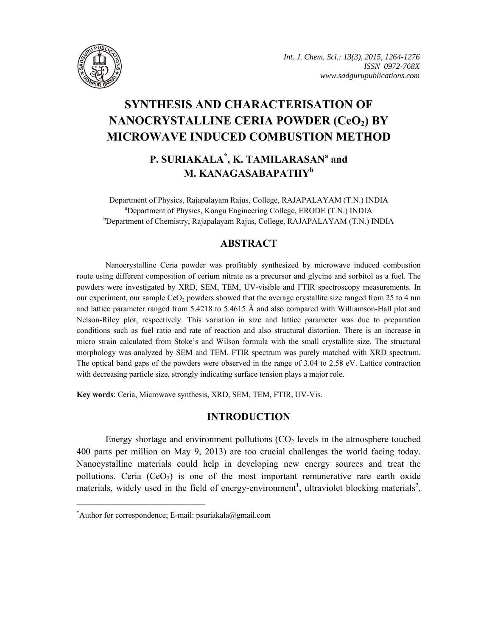

# **SYNTHESIS AND CHARACTERISATION OF**  NANOCRYSTALLINE CERIA POWDER (CeO<sub>2</sub>) BY **MICROWAVE INDUCED COMBUSTION METHOD**

# **P. SURIAKALA\* , K. TAMILARASAN<sup>a</sup> and M. KANAGASABAPATHY<sup>b</sup>**

Department of Physics, Rajapalayam Rajus, College, RAJAPALAYAM (T.N.) INDIA a Department of Physics, Kongu Engineering College, ERODE (T.N.) INDIA <sup>b</sup>Department of Chemistry, Rajapalayam Rajus, College, RAJAPALAYAM (T.N.) INDIA

# **ABSTRACT**

Nanocrystalline Ceria powder was profitably synthesized by microwave induced combustion route using different composition of cerium nitrate as a precursor and glycine and sorbitol as a fuel. The powders were investigated by XRD, SEM, TEM, UV-visible and FTIR spectroscopy measurements. In our experiment, our sample CeO<sub>2</sub> powders showed that the average crystallite size ranged from 25 to 4 nm and lattice parameter ranged from 5.4218 to 5.4615 Å and also compared with Williamson-Hall plot and Nelson-Riley plot, respectively. This variation in size and lattice parameter was due to preparation conditions such as fuel ratio and rate of reaction and also structural distortion. There is an increase in micro strain calculated from Stoke's and Wilson formula with the small crystallite size. The structural morphology was analyzed by SEM and TEM. FTIR spectrum was purely matched with XRD spectrum. The optical band gaps of the powders were observed in the range of 3.04 to 2.58 eV. Lattice contraction with decreasing particle size, strongly indicating surface tension plays a major role.

**Key words**: Ceria, Microwave synthesis, XRD, SEM, TEM, FTIR, UV-Vis.

# **INTRODUCTION**

Energy shortage and environment pollutions  $(CO<sub>2</sub>)$  levels in the atmosphere touched 400 parts per million on May 9, 2013) are too crucial challenges the world facing today. Nanocystalline materials could help in developing new energy sources and treat the pollutions. Ceria  $(CeO<sub>2</sub>)$  is one of the most important remunerative rare earth oxide materials, widely used in the field of energy-environment<sup>1</sup>, ultraviolet blocking materials<sup>2</sup>,

**\_\_\_\_\_\_\_\_\_\_\_\_\_\_\_\_\_\_\_\_\_\_\_\_\_\_\_\_\_\_\_\_\_\_\_\_\_\_\_\_**

<sup>\*</sup> Author for correspondence; E-mail: psuriakala@gmail.com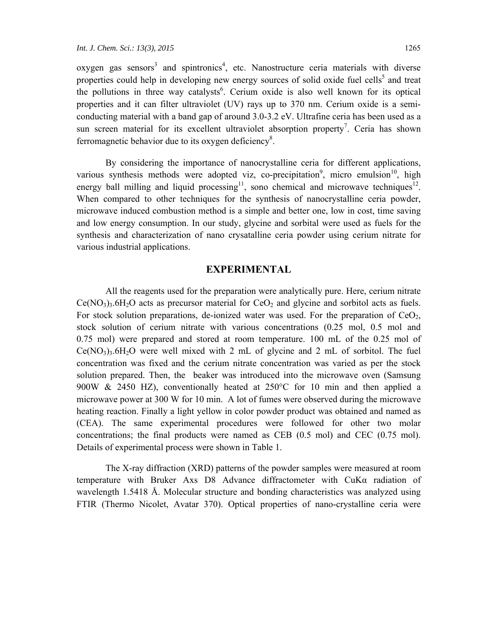oxygen gas sensors<sup>3</sup> and spintronics<sup>4</sup>, etc. Nanostructure ceria materials with diverse properties could help in developing new energy sources of solid oxide fuel cells<sup>5</sup> and treat the pollutions in three way catalysts<sup>6</sup>. Cerium oxide is also well known for its optical properties and it can filter ultraviolet (UV) rays up to 370 nm. Cerium oxide is a semiconducting material with a band gap of around 3.0-3.2 eV. Ultrafine ceria has been used as a sun screen material for its excellent ultraviolet absorption property<sup>7</sup>. Ceria has shown ferromagnetic behavior due to its oxygen deficiency<sup>8</sup>.

By considering the importance of nanocrystalline ceria for different applications, various synthesis methods were adopted viz, co-precipitation<sup>9</sup>, micro emulsion<sup>10</sup>, high energy ball milling and liquid processing<sup>11</sup>, sono chemical and microwave techniques<sup>12</sup>. When compared to other techniques for the synthesis of nanocrystalline ceria powder, microwave induced combustion method is a simple and better one, low in cost, time saving and low energy consumption. In our study, glycine and sorbital were used as fuels for the synthesis and characterization of nano crysatalline ceria powder using cerium nitrate for various industrial applications.

#### **EXPERIMENTAL**

All the reagents used for the preparation were analytically pure. Here, cerium nitrate  $Ce(NO<sub>3</sub>)<sub>3</sub>$ .6H<sub>2</sub>O acts as precursor material for  $CeO<sub>2</sub>$  and glycine and sorbitol acts as fuels. For stock solution preparations, de-ionized water was used. For the preparation of  $CeO<sub>2</sub>$ , stock solution of cerium nitrate with various concentrations (0.25 mol, 0.5 mol and 0.75 mol) were prepared and stored at room temperature. 100 mL of the 0.25 mol of  $Ce(NO<sub>3</sub>)<sub>3</sub>·6H<sub>2</sub>O$  were well mixed with 2 mL of glycine and 2 mL of sorbitol. The fuel concentration was fixed and the cerium nitrate concentration was varied as per the stock solution prepared. Then, the beaker was introduced into the microwave oven (Samsung 900W & 2450 HZ), conventionally heated at  $250^{\circ}$ C for 10 min and then applied a microwave power at 300 W for 10 min. A lot of fumes were observed during the microwave heating reaction. Finally a light yellow in color powder product was obtained and named as (CEA). The same experimental procedures were followed for other two molar concentrations; the final products were named as CEB (0.5 mol) and CEC (0.75 mol). Details of experimental process were shown in Table 1.

The X-ray diffraction (XRD) patterns of the powder samples were measured at room temperature with Bruker Axs D8 Advance diffractometer with CuKα radiation of wavelength 1.5418 Å. Molecular structure and bonding characteristics was analyzed using FTIR (Thermo Nicolet, Avatar 370). Optical properties of nano-crystalline ceria were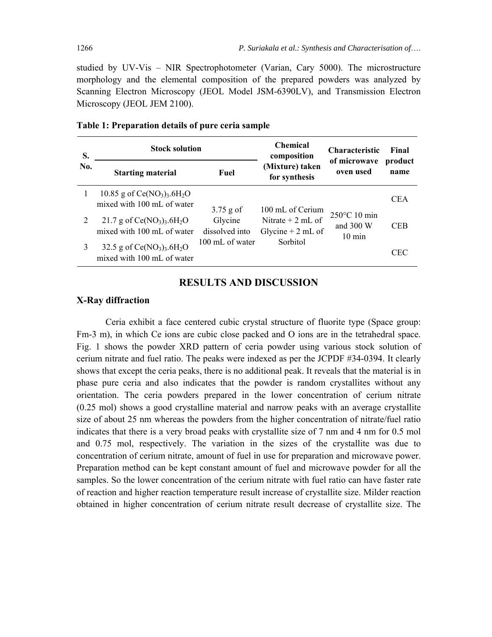studied by UV-Vis – NIR Spectrophotometer (Varian, Cary 5000). The microstructure morphology and the elemental composition of the prepared powders was analyzed by Scanning Electron Microscopy (JEOL Model JSM-6390LV), and Transmission Electron Microscopy (JEOL JEM 2100).

| S.<br>No. | <b>Stock solution</b>                                                              | <b>Chemical</b><br>composition                              | <b>Characteristic</b>                                                      | Final                                                     |                 |
|-----------|------------------------------------------------------------------------------------|-------------------------------------------------------------|----------------------------------------------------------------------------|-----------------------------------------------------------|-----------------|
|           | <b>Starting material</b>                                                           | Fuel                                                        | (Mixture) taken<br>for synthesis                                           | of microwave<br>oven used                                 | product<br>name |
|           | 10.85 g of $Ce(NO3)3$ .6H <sub>2</sub> O<br>mixed with 100 mL of water             | $3.75$ g of<br>Glycine<br>dissolved into<br>100 mL of water | 100 mL of Cerium<br>Nitrate $+ 2$ mL of<br>Glycine $+ 2$ mL of<br>Sorbitol | $250^{\circ}$ C 10 min<br>and $300 W$<br>$10 \text{ min}$ | <b>CEA</b>      |
|           | 21.7 g of $Ce(NO_3)$ <sub>3</sub> .6H <sub>2</sub> O<br>mixed with 100 mL of water |                                                             |                                                                            |                                                           | <b>CEB</b>      |
| 3         | 32.5 g of $Ce(NO3)3$ .6H <sub>2</sub> O<br>mixed with 100 mL of water              |                                                             |                                                                            |                                                           | CEC             |

#### **Table 1: Preparation details of pure ceria sample**

### **RESULTS AND DISCUSSION**

#### **X-Ray diffraction**

Ceria exhibit a face centered cubic crystal structure of fluorite type (Space group: Fm-3 m), in which Ce ions are cubic close packed and O ions are in the tetrahedral space. Fig. 1 shows the powder XRD pattern of ceria powder using various stock solution of cerium nitrate and fuel ratio. The peaks were indexed as per the JCPDF #34-0394. It clearly shows that except the ceria peaks, there is no additional peak. It reveals that the material is in phase pure ceria and also indicates that the powder is random crystallites without any orientation. The ceria powders prepared in the lower concentration of cerium nitrate (0.25 mol) shows a good crystalline material and narrow peaks with an average crystallite size of about 25 nm whereas the powders from the higher concentration of nitrate/fuel ratio indicates that there is a very broad peaks with crystallite size of 7 nm and 4 nm for 0.5 mol and 0.75 mol, respectively. The variation in the sizes of the crystallite was due to concentration of cerium nitrate, amount of fuel in use for preparation and microwave power. Preparation method can be kept constant amount of fuel and microwave powder for all the samples. So the lower concentration of the cerium nitrate with fuel ratio can have faster rate of reaction and higher reaction temperature result increase of crystallite size. Milder reaction obtained in higher concentration of cerium nitrate result decrease of crystallite size. The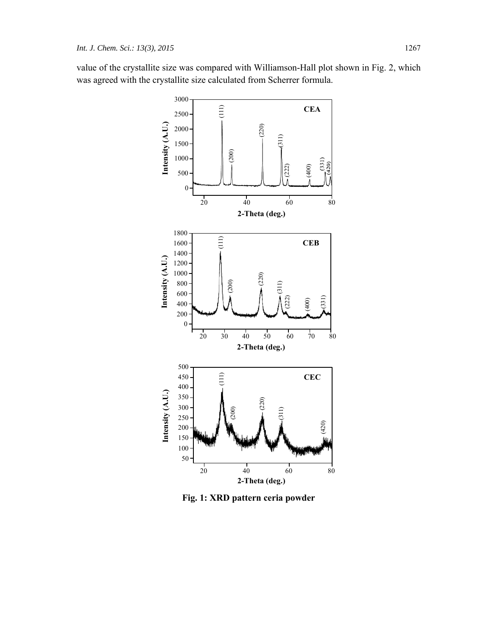value of the crystallite size was compared with Williamson-Hall plot shown in Fig. 2, which was agreed with the crystallite size calculated from Scherrer formula.



**Fig. 1: XRD pattern ceria powder**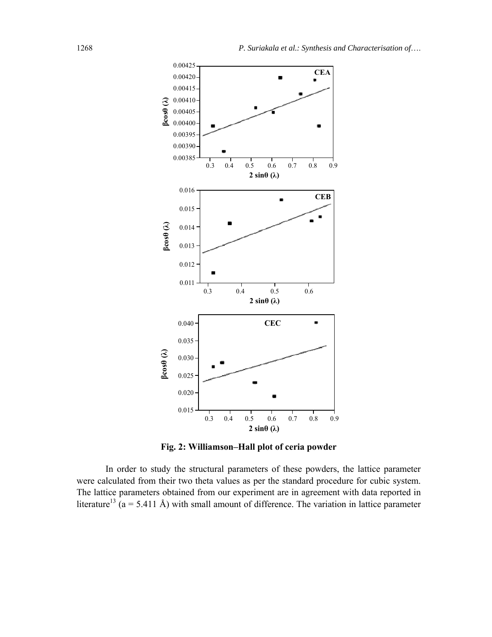

**Fig. 2: Williamson–Hall plot of ceria powder** 

In order to study the structural parameters of these powders, the lattice parameter were calculated from their two theta values as per the standard procedure for cubic system. The lattice parameters obtained from our experiment are in agreement with data reported in literature<sup>13</sup> ( $a = 5.411 \text{ Å}$ ) with small amount of difference. The variation in lattice parameter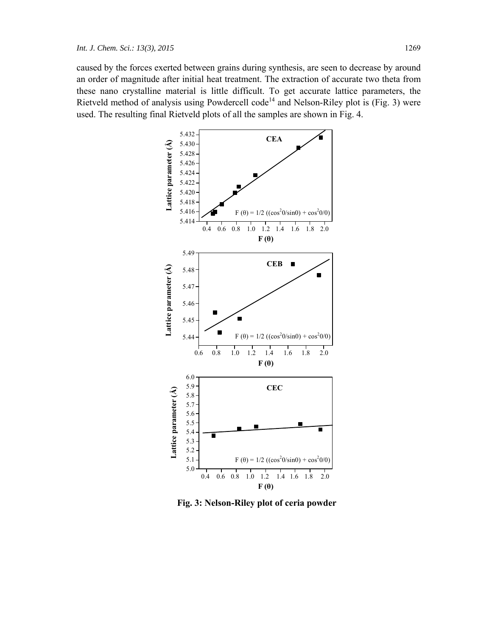caused by the forces exerted between grains during synthesis, are seen to decrease by around an order of magnitude after initial heat treatment. The extraction of accurate two theta from these nano crystalline material is little difficult. To get accurate lattice parameters, the Rietveld method of analysis using Powdercell code<sup>14</sup> and Nelson-Riley plot is (Fig. 3) were used. The resulting final Rietveld plots of all the samples are shown in Fig. 4.



 **Fig. 3: Nelson-Riley plot of ceria powder**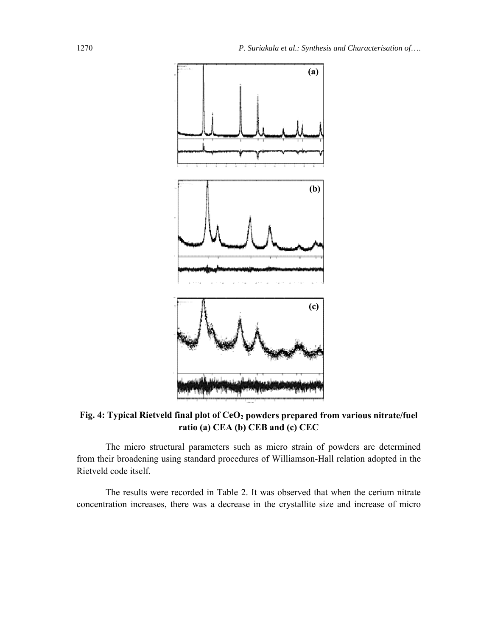

Fig. 4: Typical Rietveld final plot of CeO<sub>2</sub> powders prepared from various nitrate/fuel **ratio (a) CEA (b) CEB and (c) CEC** 

The micro structural parameters such as micro strain of powders are determined from their broadening using standard procedures of Williamson-Hall relation adopted in the Rietveld code itself.

The results were recorded in Table 2. It was observed that when the cerium nitrate concentration increases, there was a decrease in the crystallite size and increase of micro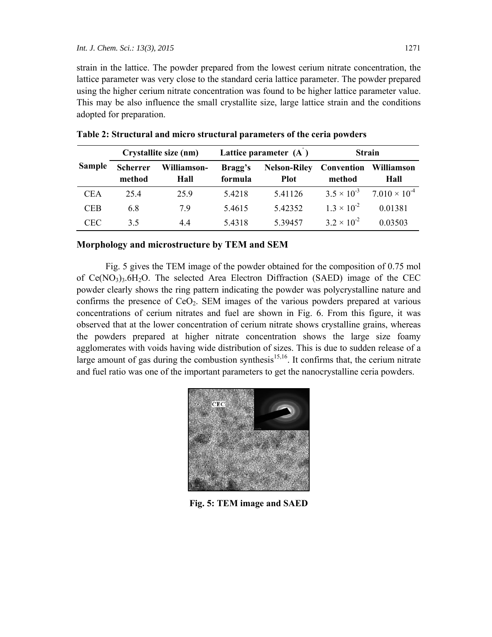strain in the lattice. The powder prepared from the lowest cerium nitrate concentration, the lattice parameter was very close to the standard ceria lattice parameter. The powder prepared using the higher cerium nitrate concentration was found to be higher lattice parameter value. This may be also influence the small crystallite size, large lattice strain and the conditions adopted for preparation.

|               | Crystallite size (nm)     |                     | Lattice parameter $(A)$ |                                    | <b>Strain</b>        |                                             |
|---------------|---------------------------|---------------------|-------------------------|------------------------------------|----------------------|---------------------------------------------|
| <b>Sample</b> | <b>Scherrer</b><br>method | Williamson-<br>Hall | Bragg's<br>formula      | <b>Nelson-Riley</b><br><b>Plot</b> | Convention<br>method | Williamson<br>Hall                          |
| <b>CEA</b>    | 25.4                      | 25.9                | 5.4218                  | 5.41126                            |                      | $3.5 \times 10^{-3}$ $7.010 \times 10^{-4}$ |
| <b>CEB</b>    | 6.8                       | 79                  | 5.4615                  | 5.42352                            | $1.3 \times 10^{-2}$ | 0.01381                                     |
| CEC.          | 35                        | 44                  | 5.4318                  | 5 39457                            | $3.2 \times 10^{-2}$ | 0.03503                                     |

**Table 2: Structural and micro structural parameters of the ceria powders** 

#### **Morphology and microstructure by TEM and SEM**

Fig. 5 gives the TEM image of the powder obtained for the composition of 0.75 mol of  $Ce(NO<sub>3</sub>)<sub>3</sub>$ .6H<sub>2</sub>O. The selected Area Electron Diffraction (SAED) image of the CEC powder clearly shows the ring pattern indicating the powder was polycrystalline nature and confirms the presence of  $CeO<sub>2</sub>$ . SEM images of the various powders prepared at various concentrations of cerium nitrates and fuel are shown in Fig. 6. From this figure, it was observed that at the lower concentration of cerium nitrate shows crystalline grains, whereas the powders prepared at higher nitrate concentration shows the large size foamy agglomerates with voids having wide distribution of sizes. This is due to sudden release of a large amount of gas during the combustion synthesis<sup>15,16</sup>. It confirms that, the cerium nitrate and fuel ratio was one of the important parameters to get the nanocrystalline ceria powders.



**Fig. 5: TEM image and SAED**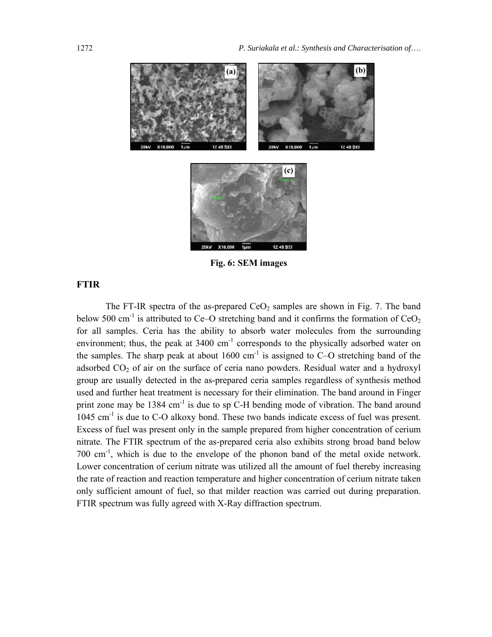

**Fig. 6: SEM images** 

# **FTIR**

The FT-IR spectra of the as-prepared  $CeO<sub>2</sub>$  samples are shown in Fig. 7. The band below 500 cm<sup>-1</sup> is attributed to Ce–O stretching band and it confirms the formation of  $CeO<sub>2</sub>$ for all samples. Ceria has the ability to absorb water molecules from the surrounding environment; thus, the peak at  $3400 \text{ cm}^{-1}$  corresponds to the physically adsorbed water on the samples. The sharp peak at about  $1600 \text{ cm}^{-1}$  is assigned to C–O stretching band of the adsorbed  $CO<sub>2</sub>$  of air on the surface of ceria nano powders. Residual water and a hydroxyl group are usually detected in the as-prepared ceria samples regardless of synthesis method used and further heat treatment is necessary for their elimination. The band around in Finger print zone may be 1384 cm<sup>-1</sup> is due to sp C-H bending mode of vibration. The band around 1045 cm<sup>-1</sup> is due to C-O alkoxy bond. These two bands indicate excess of fuel was present. Excess of fuel was present only in the sample prepared from higher concentration of cerium nitrate. The FTIR spectrum of the as-prepared ceria also exhibits strong broad band below 700 cm-1, which is due to the envelope of the phonon band of the metal oxide network. Lower concentration of cerium nitrate was utilized all the amount of fuel thereby increasing the rate of reaction and reaction temperature and higher concentration of cerium nitrate taken only sufficient amount of fuel, so that milder reaction was carried out during preparation. FTIR spectrum was fully agreed with X-Ray diffraction spectrum.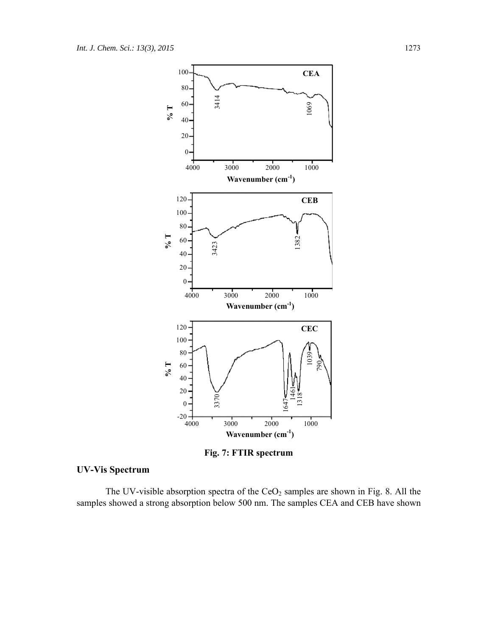

**Fig. 7: FTIR spectrum** 

# **UV-Vis Spectrum**

The UV-visible absorption spectra of the  $CeO<sub>2</sub>$  samples are shown in Fig. 8. All the samples showed a strong absorption below 500 nm. The samples CEA and CEB have shown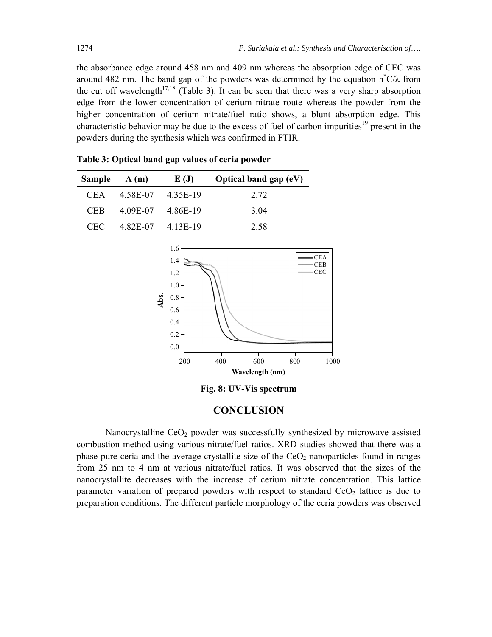the absorbance edge around 458 nm and 409 nm whereas the absorption edge of CEC was around 482 nm. The band gap of the powders was determined by the equation  $h^*C/\lambda$  from the cut off wavelength<sup>17,18</sup> (Table 3). It can be seen that there was a very sharp absorption edge from the lower concentration of cerium nitrate route whereas the powder from the higher concentration of cerium nitrate/fuel ratio shows, a blunt absorption edge. This characteristic behavior may be due to the excess of fuel of carbon impurities<sup>19</sup> present in the powders during the synthesis which was confirmed in FTIR.

| Sample     | $\Lambda(m)$ | E(J)     | Optical band gap $(eV)$ |
|------------|--------------|----------|-------------------------|
| CEA.       | 4 58E-07     | 4.35E-19 | 2.72                    |
| <b>CEB</b> | 4.09E-07     | 4.86E-19 | 3.04                    |
| CEC.       | 4.82E-07     | 4.13E-19 | 2.58                    |

**Table 3: Optical band gap values of ceria powder** 

1.6 1.4 1.2 1.0  $CEA$ 



**Fig. 8: UV-Vis spectrum** 

#### **CONCLUSION**

Nanocrystalline  $CeO<sub>2</sub>$  powder was successfully synthesized by microwave assisted combustion method using various nitrate/fuel ratios. XRD studies showed that there was a phase pure ceria and the average crystallite size of the  $CeO<sub>2</sub>$  nanoparticles found in ranges from 25 nm to 4 nm at various nitrate/fuel ratios. It was observed that the sizes of the nanocrystallite decreases with the increase of cerium nitrate concentration. This lattice parameter variation of prepared powders with respect to standard  $CeO<sub>2</sub>$  lattice is due to preparation conditions. The different particle morphology of the ceria powders was observed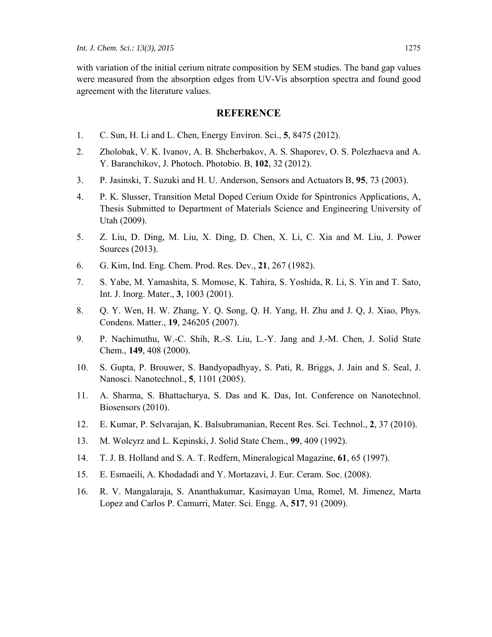with variation of the initial cerium nitrate composition by SEM studies. The band gap values were measured from the absorption edges from UV-Vis absorption spectra and found good agreement with the literature values.

#### **REFERENCE**

- 1. C. Sun, H. Li and L. Chen, Energy Environ. Sci., **5**, 8475 (2012).
- 2. Zholobak, V. K. Ivanov, A. B. Shcherbakov, A. S. Shaporev, O. S. Polezhaeva and A. Y. Baranchikov, J. Photoch. Photobio. B, **102**, 32 (2012).
- 3. P. Jasinski, T. Suzuki and H. U. Anderson, Sensors and Actuators B, **95**, 73 (2003).
- 4. P. K. Slusser, Transition Metal Doped Cerium Oxide for Spintronics Applications, A, Thesis Submitted to Department of Materials Science and Engineering University of Utah (2009).
- 5. Z. Liu, D. Ding, M. Liu, X. Ding, D. Chen, X. Li, C. Xia and M. Liu, J. Power Sources (2013).
- 6. G. Kim, Ind. Eng. Chem. Prod. Res. Dev., **21**, 267 (1982).
- 7. S. Yabe, M. Yamashita, S. Momose, K. Tahira, S. Yoshida, R. Li, S. Yin and T. Sato, Int. J. Inorg. Mater., **3**, 1003 (2001).
- 8. Q. Y. Wen, H. W. Zhang, Y. Q. Song, Q. H. Yang, H. Zhu and J. Q, J. Xiao, Phys. Condens. Matter., **19**, 246205 (2007).
- 9. P. Nachimuthu, W.-C. Shih, R.-S. Liu, L.-Y. Jang and J.-M. Chen, J. Solid State Chem., **149**, 408 (2000).
- 10. S. Gupta, P. Brouwer, S. Bandyopadhyay, S. Pati, R. Briggs, J. Jain and S. Seal, J. Nanosci. Nanotechnol., **5**, 1101 (2005).
- 11. A. Sharma, S. Bhattacharya, S. Das and K. Das, Int. Conference on Nanotechnol. Biosensors (2010).
- 12. E. Kumar, P. Selvarajan, K. Balsubramanian, Recent Res. Sci. Technol., **2**, 37 (2010).
- 13. M. Wolcyrz and L. Kepinski, J. Solid State Chem., **99**, 409 (1992).
- 14. T. J. B. Holland and S. A. T. Redfern, Mineralogical Magazine, **61**, 65 (1997).
- 15. E. Esmaeili, A. Khodadadi and Y. Mortazavi, J. Eur. Ceram. Soc. (2008).
- 16. R. V. Mangalaraja, S. Ananthakumar, Kasimayan Uma, Romel, M. Jimenez, Marta Lopez and Carlos P. Camurri, Mater. Sci. Engg. A, **517**, 91 (2009).